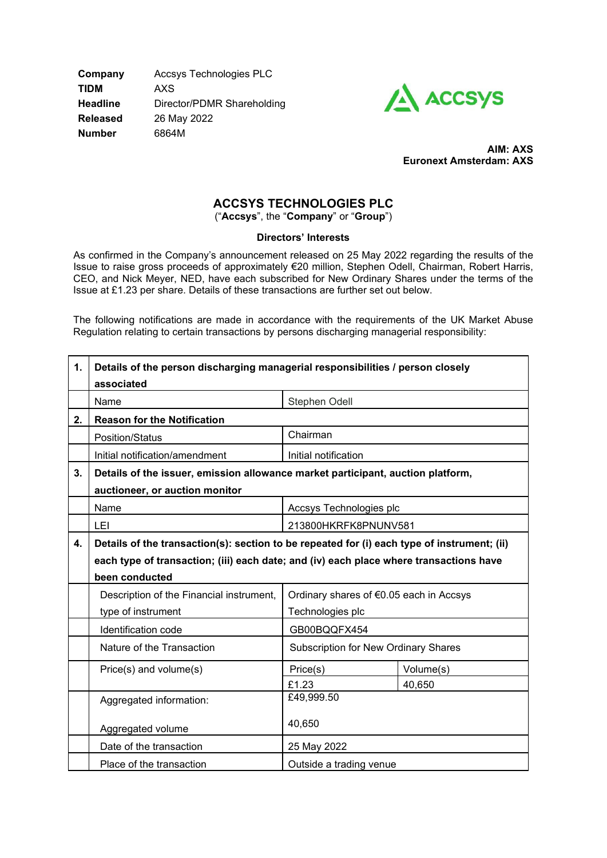**Company** Accsys Technologies PLC **TIDM** AXS **Headline** Director/PDMR Shareholding **Released** 26 May 2022 **Number** 6864M



 **AIM: AXS Euronext Amsterdam: AXS** 

## **ACCSYS TECHNOLOGIES PLC** ("**Accsys**", the "**Company**" or "**Group**")

**Directors' Interests**

As confirmed in the Company's announcement released on 25 May 2022 regarding the results of the Issue to raise gross proceeds of approximately €20 million, Stephen Odell, Chairman, Robert Harris, CEO, and Nick Meyer, NED, have each subscribed for New Ordinary Shares under the terms of the Issue at £1.23 per share. Details of these transactions are further set out below.

The following notifications are made in accordance with the requirements of the UK Market Abuse Regulation relating to certain transactions by persons discharging managerial responsibility:

| 1. | Details of the person discharging managerial responsibilities / person closely<br>associated |                                             |           |
|----|----------------------------------------------------------------------------------------------|---------------------------------------------|-----------|
|    | Name                                                                                         | Stephen Odell                               |           |
| 2. | <b>Reason for the Notification</b>                                                           |                                             |           |
|    | Position/Status                                                                              | Chairman                                    |           |
|    | Initial notification/amendment                                                               | Initial notification                        |           |
| 3. | Details of the issuer, emission allowance market participant, auction platform,              |                                             |           |
|    | auctioneer, or auction monitor                                                               |                                             |           |
|    | Name                                                                                         | Accsys Technologies plc                     |           |
|    | LEI                                                                                          | 213800HKRFK8PNUNV581                        |           |
| 4. | Details of the transaction(s): section to be repeated for (i) each type of instrument; (ii)  |                                             |           |
|    | each type of transaction; (iii) each date; and (iv) each place where transactions have       |                                             |           |
|    | been conducted                                                                               |                                             |           |
|    | Description of the Financial instrument,                                                     | Ordinary shares of €0.05 each in Accsys     |           |
|    | type of instrument                                                                           | Technologies plc                            |           |
|    | Identification code                                                                          | GB00BQQFX454                                |           |
|    | Nature of the Transaction                                                                    | <b>Subscription for New Ordinary Shares</b> |           |
|    | Price(s) and volume(s)                                                                       | Price(s)                                    | Volume(s) |
|    |                                                                                              | £1.23                                       | 40,650    |
|    | Aggregated information:                                                                      | £49,999.50                                  |           |
|    | Aggregated volume                                                                            | 40,650                                      |           |
|    | Date of the transaction                                                                      | 25 May 2022                                 |           |
|    | Place of the transaction                                                                     | Outside a trading venue                     |           |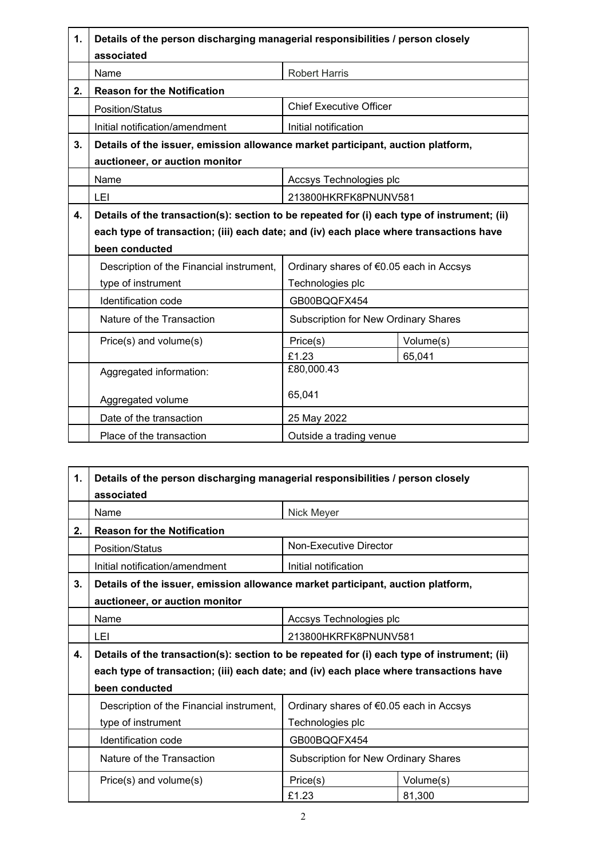| 1. | Details of the person discharging managerial responsibilities / person closely              |                                             |           |
|----|---------------------------------------------------------------------------------------------|---------------------------------------------|-----------|
|    | associated<br>Name                                                                          | <b>Robert Harris</b>                        |           |
| 2. | <b>Reason for the Notification</b>                                                          |                                             |           |
|    | <b>Position/Status</b>                                                                      | <b>Chief Executive Officer</b>              |           |
|    | Initial notification/amendment                                                              | Initial notification                        |           |
| 3. | Details of the issuer, emission allowance market participant, auction platform,             |                                             |           |
|    | auctioneer, or auction monitor                                                              |                                             |           |
|    | Name                                                                                        | Accsys Technologies plc                     |           |
|    | LEI                                                                                         | 213800HKRFK8PNUNV581                        |           |
| 4. | Details of the transaction(s): section to be repeated for (i) each type of instrument; (ii) |                                             |           |
|    | each type of transaction; (iii) each date; and (iv) each place where transactions have      |                                             |           |
|    | been conducted                                                                              |                                             |           |
|    | Description of the Financial instrument,                                                    | Ordinary shares of €0.05 each in Accsys     |           |
|    | type of instrument                                                                          | Technologies plc                            |           |
|    | <b>Identification code</b>                                                                  | GB00BQQFX454                                |           |
|    | Nature of the Transaction                                                                   | <b>Subscription for New Ordinary Shares</b> |           |
|    | Price(s) and volume(s)                                                                      | Price(s)                                    | Volume(s) |
|    |                                                                                             | £1.23                                       | 65,041    |
|    | Aggregated information:                                                                     | £80,000.43                                  |           |
|    | Aggregated volume                                                                           | 65,041                                      |           |
|    | Date of the transaction                                                                     | 25 May 2022                                 |           |
|    | Place of the transaction                                                                    | Outside a trading venue                     |           |

| 1. | Details of the person discharging managerial responsibilities / person closely              |                                             |           |
|----|---------------------------------------------------------------------------------------------|---------------------------------------------|-----------|
|    | associated                                                                                  |                                             |           |
|    | Name                                                                                        | Nick Meyer                                  |           |
| 2. | <b>Reason for the Notification</b>                                                          |                                             |           |
|    | <b>Position/Status</b>                                                                      | Non-Executive Director                      |           |
|    | Initial notification/amendment                                                              | Initial notification                        |           |
| 3. | Details of the issuer, emission allowance market participant, auction platform,             |                                             |           |
|    | auctioneer, or auction monitor                                                              |                                             |           |
|    | Name                                                                                        | Accsys Technologies plc                     |           |
|    | LEI                                                                                         | 213800HKRFK8PNUNV581                        |           |
| 4. | Details of the transaction(s): section to be repeated for (i) each type of instrument; (ii) |                                             |           |
|    | each type of transaction; (iii) each date; and (iv) each place where transactions have      |                                             |           |
|    | been conducted                                                                              |                                             |           |
|    | Description of the Financial instrument,                                                    | Ordinary shares of €0.05 each in Accsys     |           |
|    | type of instrument                                                                          | Technologies plc                            |           |
|    | Identification code                                                                         | GB00BQQFX454                                |           |
|    | Nature of the Transaction                                                                   | <b>Subscription for New Ordinary Shares</b> |           |
|    | Price(s) and volume(s)                                                                      | Price(s)                                    | Volume(s) |
|    |                                                                                             | £1.23                                       | 81,300    |